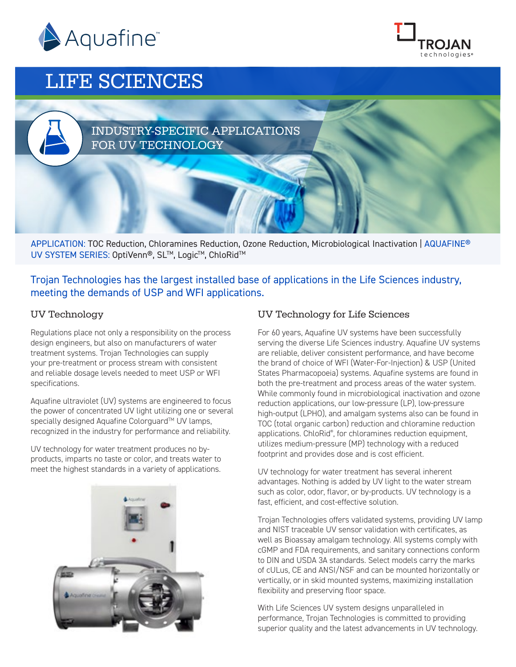



# LIFE SCIENCES

# INDUSTRY-SPECIFIC APPLICATIONS FOR UV TECHNOLOGY

APPLICATION: TOC Reduction, Chloramines Reduction, Ozone Reduction, Microbiological Inactivation | AQUAFINE® UV SYSTEM SERIES: OptiVenn®, SL™, Logic™, ChloRid™

Trojan Technologies has the largest installed base of applications in the Life Sciences industry, meeting the demands of USP and WFI applications.

## UV Technology

Regulations place not only a responsibility on the process design engineers, but also on manufacturers of water treatment systems. Trojan Technologies can supply your pre-treatment or process stream with consistent and reliable dosage levels needed to meet USP or WFI specifications.

Aquafine ultraviolet (UV) systems are engineered to focus the power of concentrated UV light utilizing one or several specially designed Aquafine Colorguard™ UV lamps, recognized in the industry for performance and reliability.

UV technology for water treatment produces no byproducts, imparts no taste or color, and treats water to meet the highest standards in a variety of applications.



# UV Technology for Life Sciences

For 60 years, Aquafine UV systems have been successfully serving the diverse Life Sciences industry. Aquafine UV systems are reliable, deliver consistent performance, and have become the brand of choice of WFI (Water-For-Injection) & USP (United States Pharmacopoeia) systems. Aquafine systems are found in both the pre-treatment and process areas of the water system. While commonly found in microbiological inactivation and ozone reduction applications, our low-pressure (LP), low-pressure high-output (LPHO), and amalgam systems also can be found in TOC (total organic carbon) reduction and chloramine reduction applications. ChloRid® , for chloramines reduction equipment, utilizes medium-pressure (MP) technology with a reduced footprint and provides dose and is cost efficient.

UV technology for water treatment has several inherent advantages. Nothing is added by UV light to the water stream such as color, odor, flavor, or by-products. UV technology is a fast, efficient, and cost-effective solution.

Trojan Technologies offers validated systems, providing UV lamp and NIST traceable UV sensor validation with certificates, as well as Bioassay amalgam technology. All systems comply with cGMP and FDA requirements, and sanitary connections conform to DIN and USDA 3A standards. Select models carry the marks of cULus, CE and ANSI/NSF and can be mounted horizontally or vertically, or in skid mounted systems, maximizing installation flexibility and preserving floor space.

With Life Sciences UV system designs unparalleled in performance, Trojan Technologies is committed to providing superior quality and the latest advancements in UV technology.